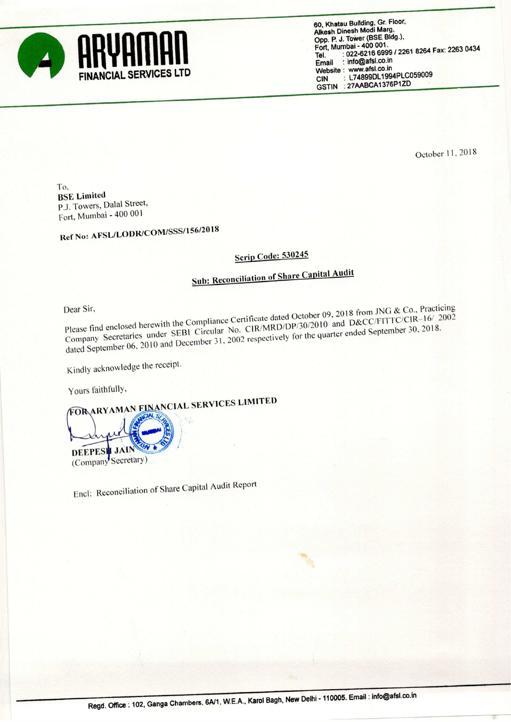

60, Khatau Building, Gr. Floor, Alkesh Dinesh Modi Marg, Opp. P. J. ToWer (BSE Bldg). Fort, Mumbai - 400 001. Port, Murrical - 400 001.<br>Tel. : 022-6216 6999 / 2261 8264 Fax: 2263 0434<br>Email : info@afsl.co.in : info@afsl.co.in Website : www.afsl.co.in<br>CIN : L74899DL199 : L74899DL1994PLC059009 GSTIN :27AABCA1376P1ZD

October 11, 2018

To, BSE Limited PJ. Towers, Dalal Street, Fort, Mumbai -<sup>400</sup> 00l

Ref No: AFSL/LODR/COM/SSS/l 56/2018

## Scrip Code: 530245

## Sub: Reconciliation of Share Capital Audit

Dear Sir,<br>Please find enclosed herewith the Compliance Certificate dated October 09, 2018 from JNG & Co., Practicing<br>Please find enclosed herewith the Compliance Certificate dated October 09, 2018 and D&CC/FITTC/CIR–16/ 20 Company Secretaries under SEBI Circular No. CIR/MRD/DP/30/2010 and D&CC/FITTC/CIR-16/' 2002 dated September 06, 2010 and December 31, 2002 respectively for the quarter ended September 30, 2018.

Kindly acknowledge the receipt

Yours faithfully,<br>FORARYAMAN FINANCIAL SERVICES LIMITED

DEEPESI<mark>I JAIN</mark> (Company Secretary)

Encl: Reconciliation of Share Capital Audit Report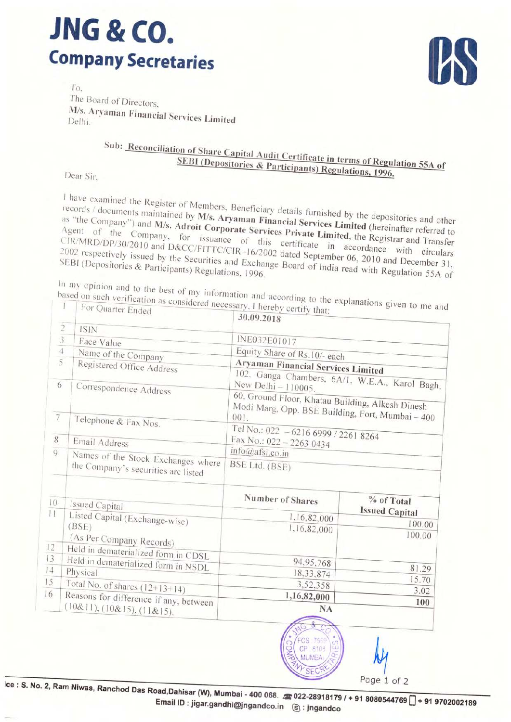## **JNG & CO. Company Secretaries**

To. The Board of Directors, M/s. Aryaman Financial Services Limited

## Sub: Reconciliation of Share Capital Audit Certificate in terms of Regulation 55A of SEBI (Depositories & Participants) Regulations, 1996.

Dear Sir.

I have examined the Register of Members, Beneficiary details furnished by the depositories and other records / documents maintained by M/s. Aryaman Financial Services Limited (hereinafter referred to as "the Company") and M/s. Adroit Corporate Services Private Limited, the Registrar and Transfer Agent of the Company, for issuance of this certificate in accordance with circulars CIR/MRD/DP/30/2010 and D&CC/FITTC/CIR-16/2002 dated September 06, 2010 and December 31, 2002 respectively issued by the Securities and Exchange Board of India read with Regulation 55A of

- based on such verification as considered necessary, I hereby certify that:
- In my opinion and to the best of my information and according to the explanations given to me and For Quarter Ended

|                | $\cdots$ $\cdots$                      | 30.09.2018                                                            |                                     |  |  |  |
|----------------|----------------------------------------|-----------------------------------------------------------------------|-------------------------------------|--|--|--|
| $\overline{2}$ | <b>ISIN</b>                            |                                                                       |                                     |  |  |  |
| $rac{3}{4}$    | Face Value                             | INE032E01017                                                          |                                     |  |  |  |
|                | Name of the Company                    | Equity Share of Rs.10/- each                                          |                                     |  |  |  |
| $\overline{5}$ | Registered Office Address              | Aryaman Financial Services Limited                                    |                                     |  |  |  |
|                |                                        |                                                                       |                                     |  |  |  |
| 6              | Correspondence Address                 | 102, Ganga Chambers, 6A/1, W.E.A., Karol Bagh,<br>New Delhi - 110005. |                                     |  |  |  |
|                |                                        | 60, Ground Floor, Khatau Building, Alkesh Dinesh                      |                                     |  |  |  |
|                |                                        | Modi Marg, Opp. BSE Building, Fort, Mumbai - 400                      |                                     |  |  |  |
| $\overline{7}$ | Telephone & Fax Nos.                   |                                                                       |                                     |  |  |  |
|                |                                        | Tel No.: 022 - 6216 6999 / 2261 8264                                  |                                     |  |  |  |
| 8              | Email Address                          | Fax No.: 022 - 2263 0434                                              |                                     |  |  |  |
| 9              | Names of the Stock Exchanges where     | info@afsl.co.in                                                       |                                     |  |  |  |
|                | the Company's securities are listed    | BSE Ltd. (BSE)                                                        |                                     |  |  |  |
| 10<br>11       | Issued Capital                         | Number of Shares                                                      | % of Total<br><b>Issued Capital</b> |  |  |  |
|                | Listed Capital (Exchange-wise)         | 1,16,82,000                                                           | 100.00                              |  |  |  |
|                | (BSE)                                  | 1,16,82,000                                                           | 100.00                              |  |  |  |
|                | (As Per Company Records)               |                                                                       |                                     |  |  |  |
| 12             | Held in dematerialized form in CDSL    |                                                                       |                                     |  |  |  |
| 13             | Held in dematerialized form in NSDL    | 94,95,768                                                             | 81.29                               |  |  |  |
| 4              | Physical                               | 18,33,874                                                             | 15.70                               |  |  |  |
| 15             | Total No. of shares $(12+13+14)$       | 3,52,358                                                              | 3.02                                |  |  |  |
| 16             | Reasons for difference if any, between | 1,16,82,000                                                           |                                     |  |  |  |
|                | (10&11), (10&15), (11&15).             | <b>NA</b>                                                             | 100                                 |  |  |  |
|                |                                        | 윥<br>$H_{\mathbb{C}}$                                                 |                                     |  |  |  |